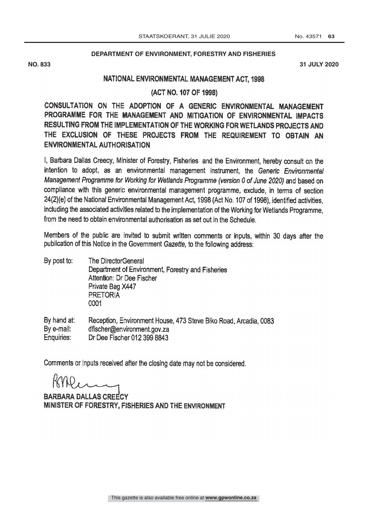## **DEPARTMENT OF ENVIRONMENT, FORESTRY AND FISHERIES**

**NO. 833 31 JULY 2020**

## NATIONAL ENVIRONMENTAL MANAGEMENT ACT. 1998

(ACT NO. 107 OF 1998)

CONSULTATION ON THE ADOPTION OF A GENERIC ENVIRONMENTAL MANAGEMENT PROGRAMME FOR THE MANAGEMENT AND MITIGATION OF ENVIRONMENTAL IMPACTS RESULTING FROM THE IMPLEMENTATION OF THE WORKING FOR WETLANDS PROJECTS AND THE EXCLUSION OF THESE PROJECTS FROM THE REQUIREMENT TO OBTAIN AN ENVIRONMENTAL AUTHORISATION

I, Barbara Dallas Creecy, Minister of Forestry, Fisheries and the Environment, hereby consult on the intention to adopt, as an environmental management instrument, the Generic Environmental Management Programme for Working for Wetlands Programme (version 0 of June 2020) and based on compliance with this generic environmental management programme, exclude, in terms of section 24(2)(e) of the National Environmental Management Act, 1998 (Act No. 107 of 1998), identified activities, including the associated activities related to the implementation of the Working for Wetlands Programme, from the need to obtain environmental authorisation as set out in the Schedule.

Members of the public are invited to submit written comments or inputs, within 30 days after the publication of this Notice in the Government Gazette, to the following address:

By post to: The DirectorGeneral Department of Environment, Forestry and Fisheries Attention: Dr Dee Fischer Private Bag X447 PRETORIA 0001

By hand at: Reception, Environment House, 473 Steve Biko Road, Arcadia, 0083 By e-mail: dfischer@environment.gov.za Dr Dee Fischer 012 399 8843 Enquiries:

Comments or inputs received after the closing date may not be considered.

BARBARA DALLAS CREECY MINISTER OF FORESTRY, FISHERIES AND THE ENVIRONMENT